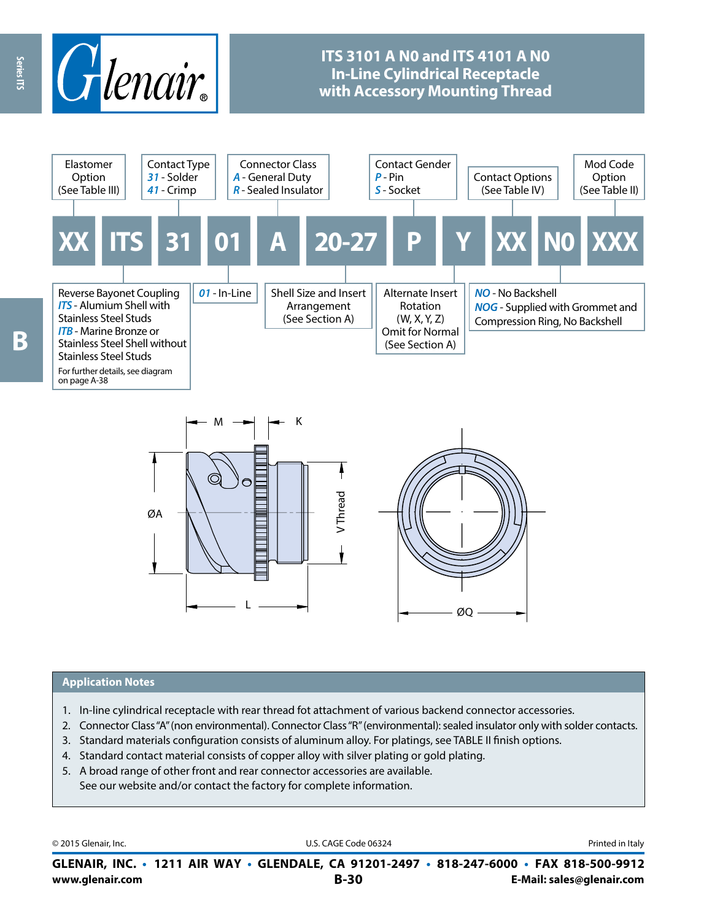

## **ITS 3101 A N0 and ITS 4101 A N0 In-Line Cylindrical Receptacle with Accessory Mounting Thread**





#### **Application Notes**

- 1. In-line cylindrical receptacle with rear thread fot attachment of various backend connector accessories.
- 2. Connector Class "A" (non environmental). Connector Class "R" (environmental): sealed insulator only with solder contacts.
- 3. Standard materials configuration consists of aluminum alloy. For platings, see TABLE II finish options.
- 4. Standard contact material consists of copper alloy with silver plating or gold plating.
- 5. A broad range of other front and rear connector accessories are available. See our website and/or contact the factory for complete information.

© 2015 Glenair, Inc. **Discription Construction Construction Construction Construction Construction Construction Construction Construction Construction Construction Construction Construction Construction Construction Constr** 

**www.glenair.com B-30 E-Mail: sales@glenair.com GLENAIR, INC. • 1211 AIR WAY • GLENDALE, CA 91201-2497 • 818-247-6000 • FAX 818-500-9912**

Series ITS